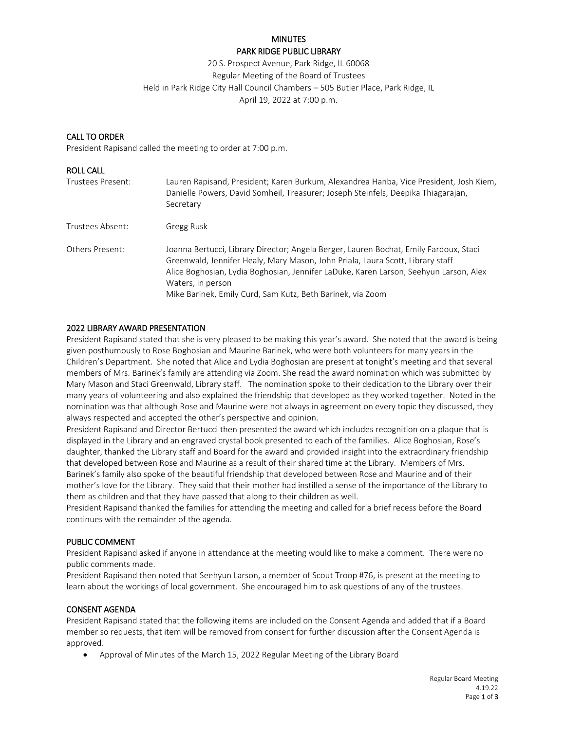# **MINUTES** PARK RIDGE PUBLIC LIBRARY

20 S. Prospect Avenue, Park Ridge, IL 60068 Regular Meeting of the Board of Trustees Held in Park Ridge City Hall Council Chambers – 505 Butler Place, Park Ridge, IL April 19, 2022 at 7:00 p.m.

## CALL TO ORDER

President Rapisand called the meeting to order at 7:00 p.m.

# ROLL CALL Trustees Present: Lauren Rapisand, President; Karen Burkum, Alexandrea Hanba, Vice President, Josh Kiem, Danielle Powers, David Somheil, Treasurer; Joseph Steinfels, Deepika Thiagarajan, Secretary Trustees Absent: Gregg Rusk Others Present: Joanna Bertucci, Library Director; Angela Berger, Lauren Bochat, Emily Fardoux, Staci Greenwald, Jennifer Healy, Mary Mason, John Priala, Laura Scott, Library staff Alice Boghosian, Lydia Boghosian, Jennifer LaDuke, Karen Larson, Seehyun Larson, Alex Waters, in person Mike Barinek, Emily Curd, Sam Kutz, Beth Barinek, via Zoom

#### 2022 LIBRARY AWARD PRESENTATION

President Rapisand stated that she is very pleased to be making this year's award. She noted that the award is being given posthumously to Rose Boghosian and Maurine Barinek, who were both volunteers for many years in the Children's Department. She noted that Alice and Lydia Boghosian are present at tonight's meeting and that several members of Mrs. Barinek's family are attending via Zoom. She read the award nomination which was submitted by Mary Mason and Staci Greenwald, Library staff. The nomination spoke to their dedication to the Library over their many years of volunteering and also explained the friendship that developed as they worked together. Noted in the nomination was that although Rose and Maurine were not always in agreement on every topic they discussed, they always respected and accepted the other's perspective and opinion.

President Rapisand and Director Bertucci then presented the award which includes recognition on a plaque that is displayed in the Library and an engraved crystal book presented to each of the families. Alice Boghosian, Rose's daughter, thanked the Library staff and Board for the award and provided insight into the extraordinary friendship that developed between Rose and Maurine as a result of their shared time at the Library. Members of Mrs. Barinek's family also spoke of the beautiful friendship that developed between Rose and Maurine and of their mother's love for the Library. They said that their mother had instilled a sense of the importance of the Library to them as children and that they have passed that along to their children as well.

President Rapisand thanked the families for attending the meeting and called for a brief recess before the Board continues with the remainder of the agenda.

#### PUBLIC COMMENT

President Rapisand asked if anyone in attendance at the meeting would like to make a comment. There were no public comments made.

President Rapisand then noted that Seehyun Larson, a member of Scout Troop #76, is present at the meeting to learn about the workings of local government. She encouraged him to ask questions of any of the trustees.

# CONSENT AGENDA

President Rapisand stated that the following items are included on the Consent Agenda and added that if a Board member so requests, that item will be removed from consent for further discussion after the Consent Agenda is approved.

Approval of Minutes of the March 15, 2022 Regular Meeting of the Library Board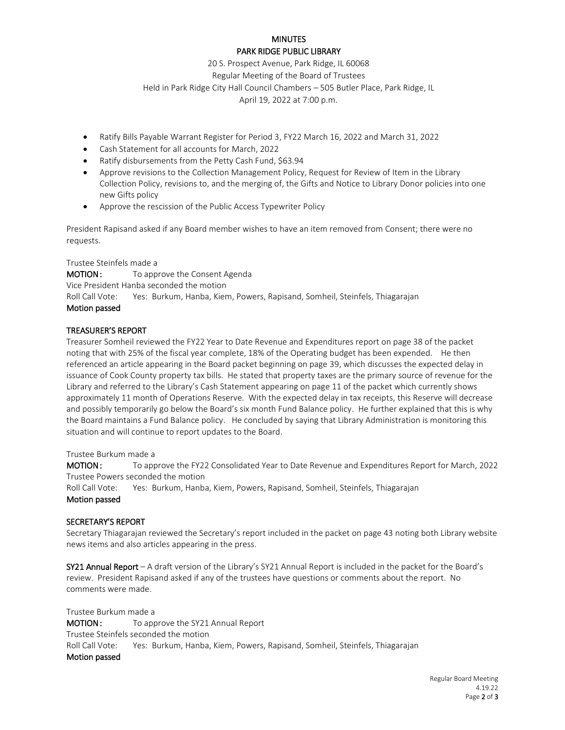## **MINUTES** PARK RIDGE PUBLIC LIBRARY

20 S. Prospect Avenue, Park Ridge, IL 60068

Regular Meeting of the Board of Trustees

Held in Park Ridge City Hall Council Chambers – 505 Butler Place, Park Ridge, IL

April 19, 2022 at 7:00 p.m.

- Ratify Bills Payable Warrant Register for Period 3, FY22 March 16, 2022 and March 31, 2022
- Cash Statement for all accounts for March, 2022
- Ratify disbursements from the Petty Cash Fund, \$63.94
- Approve revisions to the Collection Management Policy, Request for Review of Item in the Library Collection Policy, revisions to, and the merging of, the Gifts and Notice to Library Donor policies into one new Gifts policy
- Approve the rescission of the Public Access Typewriter Policy

President Rapisand asked if any Board member wishes to have an item removed from Consent; there were no requests.

Trustee Steinfels made a **MOTION:** To approve the Consent Agenda Vice President Hanba seconded the motion Roll Call Vote: Yes: Burkum, Hanba, Kiem, Powers, Rapisand, Somheil, Steinfels, Thiagarajan Motion passed

#### TREASURER'S REPORT

Treasurer Somheil reviewed the FY22 Year to Date Revenue and Expenditures report on page 38 of the packet noting that with 25% of the fiscal year complete, 18% of the Operating budget has been expended. He then referenced an article appearing in the Board packet beginning on page 39, which discusses the expected delay in issuance of Cook County property tax bills. He stated that property taxes are the primary source of revenue for the Library and referred to the Library's Cash Statement appearing on page 11 of the packet which currently shows approximately 11 month of Operations Reserve. With the expected delay in tax receipts, this Reserve will decrease and possibly temporarily go below the Board's six month Fund Balance policy. He further explained that this is why the Board maintains a Fund Balance policy. He concluded by saying that Library Administration is monitoring this situation and will continue to report updates to the Board.

#### Trustee Burkum made a

MOTION : To approve the FY22 Consolidated Year to Date Revenue and Expenditures Report for March, 2022 Trustee Powers seconded the motion

Roll Call Vote: Yes: Burkum, Hanba, Kiem, Powers, Rapisand, Somheil, Steinfels, Thiagarajan

#### Motion passed

#### SECRETARY'S REPORT

Secretary Thiagarajan reviewed the Secretary's report included in the packet on page 43 noting both Library website news items and also articles appearing in the press.

SY21 Annual Report – A draft version of the Library's SY21 Annual Report is included in the packet for the Board's review. President Rapisand asked if any of the trustees have questions or comments about the report. No comments were made.

Trustee Burkum made a MOTION: To approve the SY21 Annual Report Trustee Steinfels seconded the motion Roll Call Vote: Yes: Burkum, Hanba, Kiem, Powers, Rapisand, Somheil, Steinfels, Thiagarajan Motion passed